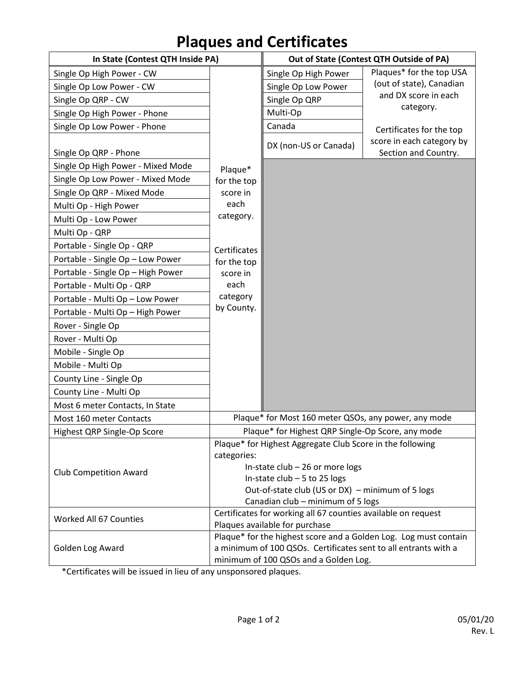## **Plaques and Certificates**

| In State (Contest QTH Inside PA)  |                                                                                                          | Out of State (Contest QTH Outside of PA) |                                                   |
|-----------------------------------|----------------------------------------------------------------------------------------------------------|------------------------------------------|---------------------------------------------------|
| Single Op High Power - CW         |                                                                                                          | Single Op High Power                     | Plaques* for the top USA                          |
| Single Op Low Power - CW          |                                                                                                          | Single Op Low Power                      | (out of state), Canadian                          |
| Single Op QRP - CW                |                                                                                                          | Single Op QRP                            | and DX score in each                              |
| Single Op High Power - Phone      |                                                                                                          | Multi-Op                                 | category.                                         |
| Single Op Low Power - Phone       |                                                                                                          | Canada                                   | Certificates for the top                          |
| Single Op QRP - Phone             |                                                                                                          | DX (non-US or Canada)                    | score in each category by<br>Section and Country. |
| Single Op High Power - Mixed Mode | Plaque*                                                                                                  |                                          |                                                   |
| Single Op Low Power - Mixed Mode  | for the top                                                                                              |                                          |                                                   |
| Single Op QRP - Mixed Mode        | score in                                                                                                 |                                          |                                                   |
| Multi Op - High Power             | each                                                                                                     |                                          |                                                   |
| Multi Op - Low Power              | category.                                                                                                |                                          |                                                   |
| Multi Op - QRP                    |                                                                                                          |                                          |                                                   |
| Portable - Single Op - QRP        | Certificates                                                                                             |                                          |                                                   |
| Portable - Single Op - Low Power  | for the top                                                                                              |                                          |                                                   |
| Portable - Single Op - High Power | score in                                                                                                 |                                          |                                                   |
| Portable - Multi Op - QRP         | each                                                                                                     |                                          |                                                   |
| Portable - Multi Op - Low Power   | category                                                                                                 |                                          |                                                   |
| Portable - Multi Op - High Power  | by County.                                                                                               |                                          |                                                   |
| Rover - Single Op                 |                                                                                                          |                                          |                                                   |
| Rover - Multi Op                  |                                                                                                          |                                          |                                                   |
| Mobile - Single Op                |                                                                                                          |                                          |                                                   |
| Mobile - Multi Op                 |                                                                                                          |                                          |                                                   |
| County Line - Single Op           |                                                                                                          |                                          |                                                   |
| County Line - Multi Op            |                                                                                                          |                                          |                                                   |
| Most 6 meter Contacts, In State   |                                                                                                          |                                          |                                                   |
| Most 160 meter Contacts           | Plaque* for Most 160 meter QSOs, any power, any mode                                                     |                                          |                                                   |
| Highest QRP Single-Op Score       | Plaque* for Highest QRP Single-Op Score, any mode                                                        |                                          |                                                   |
|                                   | Plaque* for Highest Aggregate Club Score in the following<br>categories:                                 |                                          |                                                   |
| <b>Club Competition Award</b>     | In-state $club - 26$ or more logs                                                                        |                                          |                                                   |
|                                   | In-state $club - 5$ to 25 logs                                                                           |                                          |                                                   |
|                                   | Out-of-state club (US or DX) - minimum of 5 logs                                                         |                                          |                                                   |
|                                   | Canadian club - minimum of 5 logs<br>Certificates for working all 67 counties available on request       |                                          |                                                   |
| Worked All 67 Counties            | Plaques available for purchase                                                                           |                                          |                                                   |
| Golden Log Award                  | Plaque* for the highest score and a Golden Log. Log must contain                                         |                                          |                                                   |
|                                   | a minimum of 100 QSOs. Certificates sent to all entrants with a<br>minimum of 100 QSOs and a Golden Log. |                                          |                                                   |
|                                   |                                                                                                          |                                          |                                                   |

\*Certificates will be issued in lieu of any unsponsored plaques.